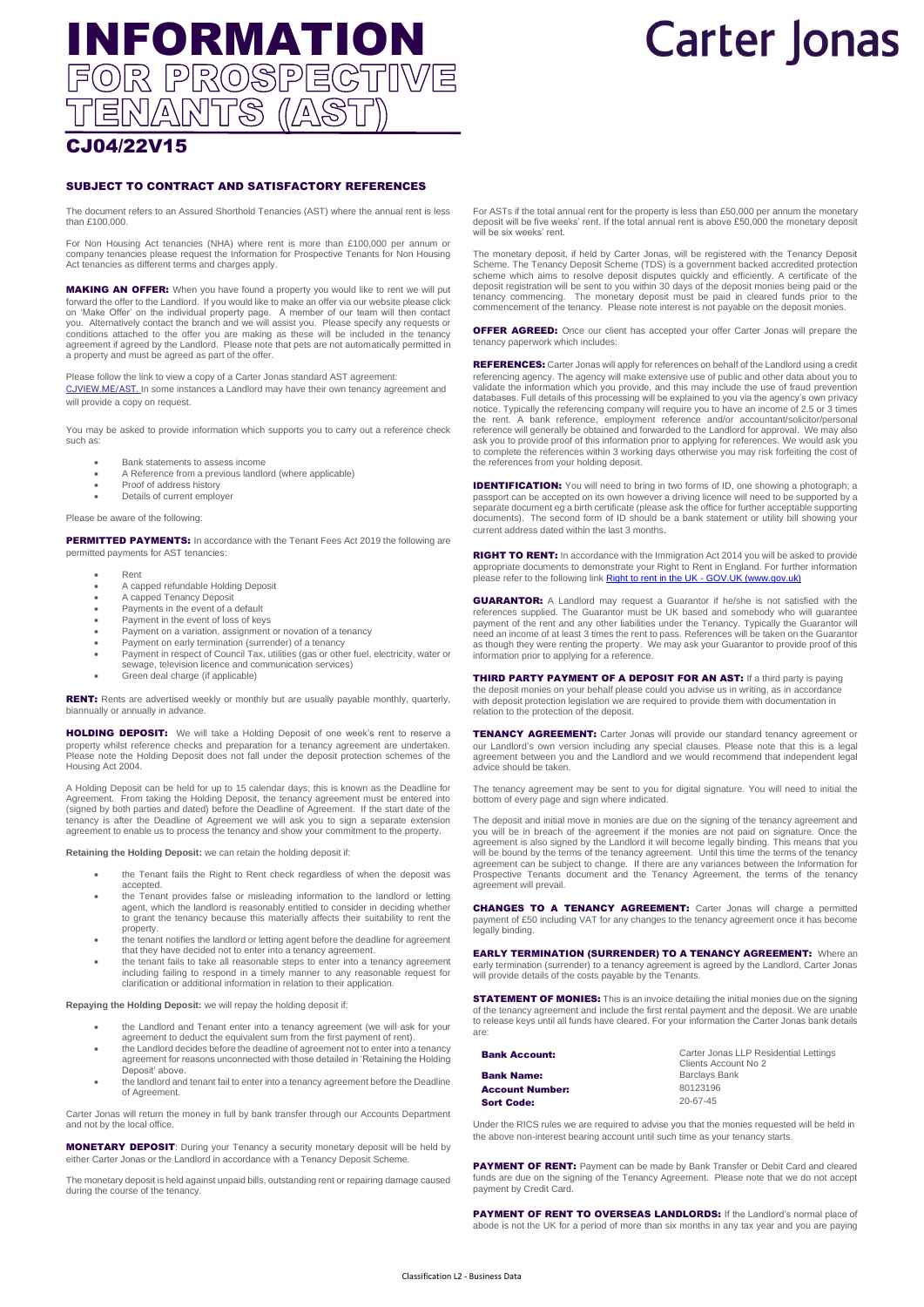# INFORMATION<br>FOR PROSPECTIVE ENANTS (A 85

# **Carter Jonas**

### CJ04/22V15

### SUBJECT TO CONTRACT AND SATISFACTORY REFERENCES

The document refers to an Assured Shorthold Tenancies (AST) where the annual rent is less than £100,000.

For Non Housing Act tenancies (NHA) where rent is more than £100,000 per annum or company tenancies please request the Information for Prospective Tenants for Non Housing Act tenancies as different terms and charges apply.

MAKING AN OFFER: When you have found a property you would like to rent we will put forward the offer to the Landlord. If you would like to make an offer via our website please click on 'Make Offer' on the individual property page. A member of our team will then contact you. Alternatively contact the branch and we will assist you. Please specify any requests or conditions attached to the offer you are making as these will be included in the tenancy agreement if agreed by the Landlord. Please note that pets are not automatically permitted in a property and must be agreed as part of the offer.

Please follow the link to view a copy of a Carter Jonas standard AST agreement: [CJVIEW.ME/AST.](https://cjview.me/AST) In some instances a Landlord may have their own tenancy agreement and will provide a copy on request.

You may be asked to provide information which supports you to carry out a reference check such as:

- Bank statements to assess income
- A Reference from a previous landlord (where applicable)
- Proof of address history
- Details of current employer

### Please be aware of the following:

**PERMITTED PAYMENTS:** In accordance with the Tenant Fees Act 2019 the following are permitted payments for AST tenancies:

- Rent
- A capped refundable Holding Deposit
- A capped Tenancy Deposit
- Payments in the event of a default
- Payment in the event of loss of keys Payment on a variation, assignment or novation of a tenancy
- Payment on early termination (surrender) of a tenancy
- Payment in respect of Council Tax, utilities (gas or other fuel, electricity, water or sewage, television licence and communication services)
- Green deal charge (if applicable)

RENT: Rents are advertised weekly or monthly but are usually payable monthly, quarterly, biannually or annually in advance.

HOLDING DEPOSIT: We will take a Holding Deposit of one week's rent to reserve a property whilst reference checks and preparation for a tenancy agreement are undertaken. Please note the Holding Deposit does not fall under the deposit protection schemes of the Housing Act 2004.

A Holding Deposit can be held for up to 15 calendar days; this is known as the Deadline for Agreement. From taking the Holding Deposit, the tenancy agreement must be entered into (signed by both parties and dated) before the Deadline of Agreement. If the start date of the tenancy is after the Deadline of Agreement we will ask you to sign a separate extension agreement to enable us to process the tenancy and show your commitment to the property.

**Retaining the Holding Deposit:** we can retain the holding deposit if:

- the Tenant fails the Right to Rent check regardless of when the deposit was accepted.
- the Tenant provides false or misleading information to the landlord or letting agent, which the landlord is reasonably entitled to consider in deciding whether to grant the tenancy because this materially affects their suitability to rent the property.
- the tenant notifies the landlord or letting agent before the deadline for agreement that they have decided not to enter into a tenancy agreement.
- the tenant fails to take all reasonable steps to enter into a tenancy agreement including failing to respond in a timely manner to any reasonable request for clarification or additional information in relation to their application.

**Repaying the Holding Deposit:** we will repay the holding deposit if:

- the Landlord and Tenant enter into a tenancy agreement (we will ask for your agreement to deduct the equivalent sum from the first payment of rent).
- the Landlord decides before the deadline of agreement not to enter into a tenancy agreement for reasons unconnected with those detailed in 'Retaining the Holding
- Deposit' above. • the landlord and tenant fail to enter into a tenancy agreement before the Deadline of Agreement.

Carter Jonas will return the money in full by bank transfer through our Accounts Department and not by the local office.

MONETARY DEPOSIT: During your Tenancy a security monetary deposit will be held by either Carter Jonas or the Landlord in accordance with a Tenancy Deposit Scheme.

The monetary deposit is held against unpaid bills, outstanding rent or repairing damage caused during the course of the tenancy.

For ASTs if the total annual rent for the property is less than £50,000 per annum the monetary deposit will be five weeks' rent. If the total annual rent is above £50,000 the monetary deposit will be six weeks' rent.

The monetary deposit, if held by Carter Jonas, will be registered with the Tenancy Deposit Scheme. The Tenancy Deposit Scheme (TDS) is a government backed accredited protection scheme which aims to resolve deposit disputes quickly and efficiently. A certificate of the deposit registration will be sent to you within 30 days of the deposit monies being paid or the tenancy commencing. The monetary deposit must be paid in cleared funds prior to the commencement of the tenancy. Please note interest is not payable on the deposit monies.

**OFFER AGREED:** Once our client has accepted your offer Carter Jonas will prepare the tenancy paperwork which includes:

REFERENCES: Carter Jonas will apply for references on behalf of the Landlord using a credit referencing agency. The agency will make extensive use of public and other data about you to validate the information which you provide, and this may include the use of fraud prevention databases. Full details of this processing will be explained to you via the agency's own privacy<br>notice. Typically the referencing company will require you to have an income of 2.5 or 3 times<br>the rent. A bank reference reference will generally be obtained and forwarded to the Landlord for approval. We may also ask you to provide proof of this information prior to applying for references. We would ask you to complete the references within 3 working days otherwise you may risk forfeiting the cost of the references from your holding deposit.

**IDENTIFICATION:** You will need to bring in two forms of ID, one showing a photograph; a passport can be accepted on its own however a driving licence will need to be supported by a separate document eg a birth certificate (please ask the office for further acceptable supporting documents). The second form of ID should be a bank statement or utility bill showing your current address dated within the last 3 months.

**RIGHT TO RENT:** In accordance with the Immigration Act 2014 you will be asked to provide appropriate documents to demonstrate your Right to Rent in England. For further information please refer to the following lin[k Right to rent in the UK -](https://www.gov.uk/entering-staying-uk/right-to-rent-in-the-UK) GOV.UK (www.gov.uk)

**GUARANTOR:** A Landlord may request a Guarantor if he/she is not satisfied with the references supplied. The Guarantor must be UK based and somebody who will guarantee payment of the rent and any other liabilities under the Tenancy. Typically the Guarantor will need an income of at least 3 times the rent to pass. References will be taken on the Guarantor as though they were renting the property. We may ask your Guarantor to provide proof of this information prior to applying for a reference.

**THIRD PARTY PAYMENT OF A DEPOSIT FOR AN AST:** If a third party is paying the deposit monies on your behalf please could you advise us in writing, as in accordance with deposit protection legislation we are required to provide them with documentation in relation to the protection of the deposit.

TENANCY AGREEMENT: Carter Jonas will provide our standard tenancy agreement or<br>our Landlord's own version including any special clauses. Please note that this is a legal agreement between you and the Landlord and we would recommend that independent legal advice should be taken.

The tenancy agreement may be sent to you for digital signature. You will need to initial the bottom of every page and sign where indicated.

The deposit and initial move in monies are due on the signing of the tenancy agreement and you will be in breach of the agreement if the monies are not paid on signature. Once the agreement is also signed by the Landlord it will become legally binding. This means that you<br>will be bound by the terms of the tenancy agreement. Until this time the terms of the tenancy<br>agreement can be subject to change. Prospective Tenants document and the Tenancy Agreement, the terms of the tenancy agreement will prevail.

CHANGES TO A TENANCY AGREEMENT: Carter Jonas will charge a permitted payment of £50 including VAT for any changes to the tenancy agreement once it has become legally binding.

**EARLY TERMINATION (SURRENDER) TO A TENANCY AGREEMENT: Where an** early termination (surrender) to a tenancy agreement is agreed by the Landlord, Carter Jonas will provide details of the costs payable by the Tenants.

**STATEMENT OF MONIES:** This is an invoice detailing the initial monies due on the signing of the tenancy agreement and include the first rental payment and the deposit. We are unable to release keys until all funds have cleared. For your information the Carter Jonas bank details are:

| <b>Bank Account:</b>   | Carter Jonas LLP Residential Lettings<br>Clients Account No 2 |
|------------------------|---------------------------------------------------------------|
| <b>Bank Name:</b>      | <b>Barclays Bank</b>                                          |
| <b>Account Number:</b> | 80123196                                                      |
| <b>Sort Code:</b>      | $20 - 67 - 45$                                                |

Under the RICS rules we are required to advise you that the monies requested will be held in the above non-interest bearing account until such time as your tenancy starts.

PAYMENT OF RENT: Payment can be made by Bank Transfer or Debit Card and cleared funds are due on the signing of the Tenancy Agreement. Please note that we do not accept payment by Credit Card.

PAYMENT OF RENT TO OVERSEAS LANDLORDS: If the Landlord's normal place of abode is not the UK for a period of more than six months in any tax year and you are paying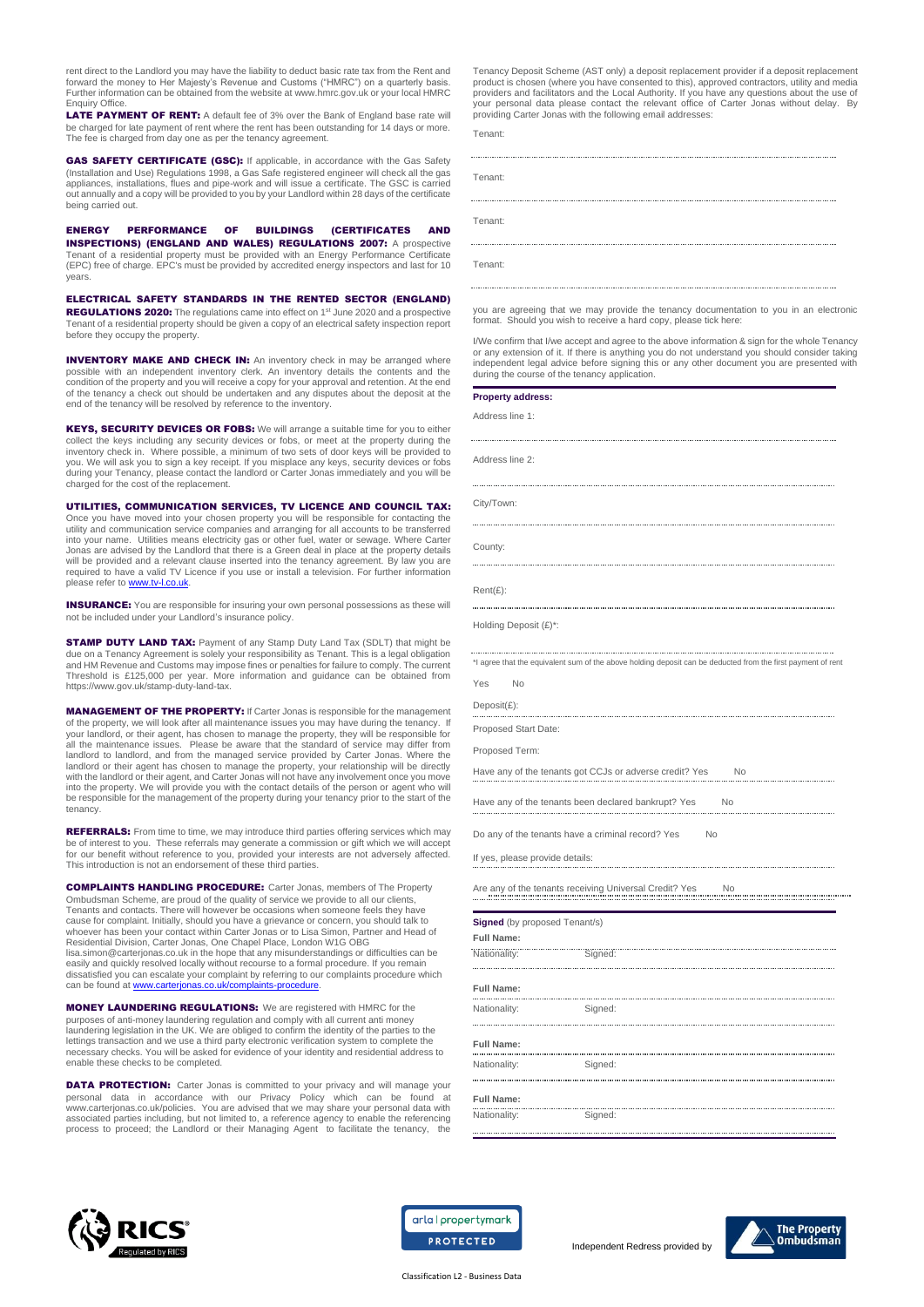rent direct to the Landlord you may have the liability to deduct basic rate tax from the Rent and forward the money to Her Majesty's Revenue and Customs ("HMRC") on a quarterly basis. Further information can be obtained from the website a[t www.hmrc.gov.uk](http://www.hmrc.gov.uk/) or your local HMRC  $\bigcap_{i \in \mathbb{N}} f(i)$ 

**LATE PAYMENT OF RENT:** A default fee of 3% over the Bank of England base rate will be charged for late payment of rent where the rent has been outstanding for 14 days or more. The fee is charged from day one as per the tenancy agreement.

GAS SAFETY CERTIFICATE (GSC): If applicable, in accordance with the Gas Safety (Installation and Use) Regulations 1998, a Gas Safe registered engineer will check all the gas appliances, installations, flues and pipe-work and will issue a certificate. The GSC is carried out annually and a copy will be provided to you by your Landlord within 28 days of the certificate being carried out.

ENERGY PERFORMANCE OF BUILDINGS (CERTIFICATES INSPECTIONS) (ENGLAND AND WALES) REGULATIONS 2007: A prospective Tenant of a residential property must be provided with an Energy Performance Certificate (EPC) free of charge. EPC's must be provided by accredited energy inspectors and last for 10 years.

ELECTRICAL SAFETY STANDARDS IN THE RENTED SECTOR (ENGLAND) REGULATIONS 2020: The regulations came into effect on 1<sup>st</sup> June 2020 and a prospective Tenant of a residential property should be given a copy of an electrical safety inspection report before they occupy the property.

**INVENTORY MAKE AND CHECK IN:** An inventory check in may be arranged where possible with an independent inventory clerk. An inventory details the contents and the condition of the property and you will receive a copy for your approval and retention. At the end of the tenancy a check out should be undertaken and any disputes about the deposit at the end of the tenancy will be resolved by reference to the inventory.

KEYS, SECURITY DEVICES OR FOBS: We will arrange a suitable time for you to either collect the keys including any security devices or fobs, or meet at the property during the<br>inventory check in. Where possible, a minimum of two sets of door keys will be provided to<br>you. We will ask you to sign a key rece during your Tenancy, please contact the landlord or Carter Jonas immediately and you will be charged for the cost of the replacement.

### UTILITIES, COMMUNICATION SERVICES, TV LICENCE AND COUNCIL TAX:

Once you have moved into your chosen property you will be responsible for contacting the utility and communication service companies and arranging for all accounts to be transferred into your name. Utilities means electricity gas or other fuel, water or sewage. Where Carter Jonas are advised by the Landlord that there is a Green deal in place at the property details will be provided and a relevant clause inserted into the tenancy agreement. By law you are required to have a valid TV Licence if you use or install a television. For further information please refer to www.tv-l.co.uk

**INSURANCE:** You are responsible for insuring your own personal possessions as these will not be included under your Landlord's insurance policy.

**STAMP DUTY LAND TAX:** Payment of any Stamp Duty Land Tax (SDLT) that might be due on a Tenancy Agreement is solely your responsibility as Tenant. This is a legal obligation and HM Revenue and Customs may impose fines or penalties for failure to comply. The current Threshold is £125,000 per year. More information and guidance can be obtained from https://www.gov.uk/stamp-duty-land-tax.

MANAGEMENT OF THE PROPERTY: If Carter Jonas is responsible for the management of the property, we will look after all maintenance issues you may have during the tenancy. If your landlord, or their agent, has chosen to manage the property, they will be responsible for<br>all the maintenance issues. Please be aware that the standard of service may differ from<br>landlord to landlord, and from the man into the property. We will provide you with the contact details of the person or agent who will be responsible for the management of the property during your tenancy prior to the start of the tenancy.

REFERRALS: From time to time, we may introduce third parties offering services which may be of interest to you. These referrals may generate a commission or gift which we will accept<br>for our benefit without reference to you, provided your interests are not adversely affected.<br>This introduction is not an endor

COMPLAINTS HANDLING PROCEDURE: Carter Jonas, members of The Property Ombudsman Scheme, are proud of the quality of service we provide to all our clients, Tenants and contacts. There will however be occasions when someone feels they have cause for complaint. Initially, should you have a grievance or concern, you should talk to<br>whoever has been your contact within Carter Jonas or to Lisa Simon, Partner and Head of<br>Residential Division, Carter Jonas, One Cha [lisa.simon@carterjonas.co.uk](mailto:lisa.simon@carterjonas.co.uk) in the hope that any misunderstandings or difficulties can be easily and quickly resolved locally without recourse to a formal procedure. If you remain dissatisfied you can escalate your complaint by referring to our complaints procedure which<br>can be found at <u>www.carterjonas.co.uk/complaints-procedure</u>.

MONEY LAUNDERING REGULATIONS: We are registered with HMRC for the purposes of anti-money laundering regulation and comply with all current anti money laundering legislation in the UK. We are obliged to confirm the identity of the parties to the lettings transaction and we use a third party electronic verification system to complete the necessary checks. You will be asked for evidence of your identity and residential address to enable these checks to be completed.

**DATA PROTECTION:** Carter Jonas is committed to your privacy and will manage your personal data in accordance with our Privacy Policy which can be found at [www.carterjonas.co.uk/policies.](http://www.carterjonas.co.uk/policies) You are advised that we may share your personal data with associated parties including, but not limited to, a reference agency to enable the referencing process to proceed; the Landlord or their Managing Agent to facilitate the tenancy, the Tenancy Deposit Scheme (AST only) a deposit replacement provider if a deposit replacement product is chosen (where you have consented to this), approved contractors, utility and media providers and facilitators and the Local Authority. If you have any questions about the use of your personal data please contact the relevant office of Carter Jonas without delay. By providing Carter Jonas with the following email addresses:

Tenant:

| Tenant: |
|---------|
|         |
| Tenant: |
|         |
| Tenant: |

you are agreeing that we may provide the tenancy documentation to you in an electronic format. Should you wish to receive a hard copy, please tick here:

I/We confirm that I/we accept and agree to the above information & sign for the whole Tenancy or any extension of it. If there is anything you do not understand you should consider taking independent legal advice before signing this or any other document you are presented with during the course of the tenancy application.

| <b>Property address:</b>             |                                                                                                              |
|--------------------------------------|--------------------------------------------------------------------------------------------------------------|
| Address line 1:                      |                                                                                                              |
| Address line 2:                      |                                                                                                              |
|                                      |                                                                                                              |
| City/Town:                           |                                                                                                              |
| County:                              |                                                                                                              |
|                                      |                                                                                                              |
| $Rent(E)$ :<br>                      |                                                                                                              |
| Holding Deposit (£)*:                |                                                                                                              |
|                                      | *I agree that the equivalent sum of the above holding deposit can be deducted from the first payment of rent |
| Yes<br><b>No</b>                     |                                                                                                              |
| $Deposit(E)$ :                       |                                                                                                              |
| Proposed Start Date:                 |                                                                                                              |
| Proposed Term:                       |                                                                                                              |
|                                      | Have any of the tenants got CCJs or adverse credit? Yes<br>No                                                |
|                                      | Have any of the tenants been declared bankrupt? Yes<br>No.                                                   |
|                                      | Do any of the tenants have a criminal record? Yes<br><b>No</b>                                               |
| If yes, please provide details:      |                                                                                                              |
|                                      | No                                                                                                           |
| <b>Signed</b> (by proposed Tenant/s) |                                                                                                              |
| <b>Full Name:</b>                    |                                                                                                              |
| Nationality:                         | Signed:                                                                                                      |
| <b>Full Name:</b>                    |                                                                                                              |
| Nationality:                         | Signed:                                                                                                      |
| <br><b>Full Name:</b><br>.           | <br>                                                                                                         |
| Nationality:<br>                     | Signed:                                                                                                      |
| <b>Full Name:</b>                    |                                                                                                              |
| Nationality:                         | <br>Signed:                                                                                                  |





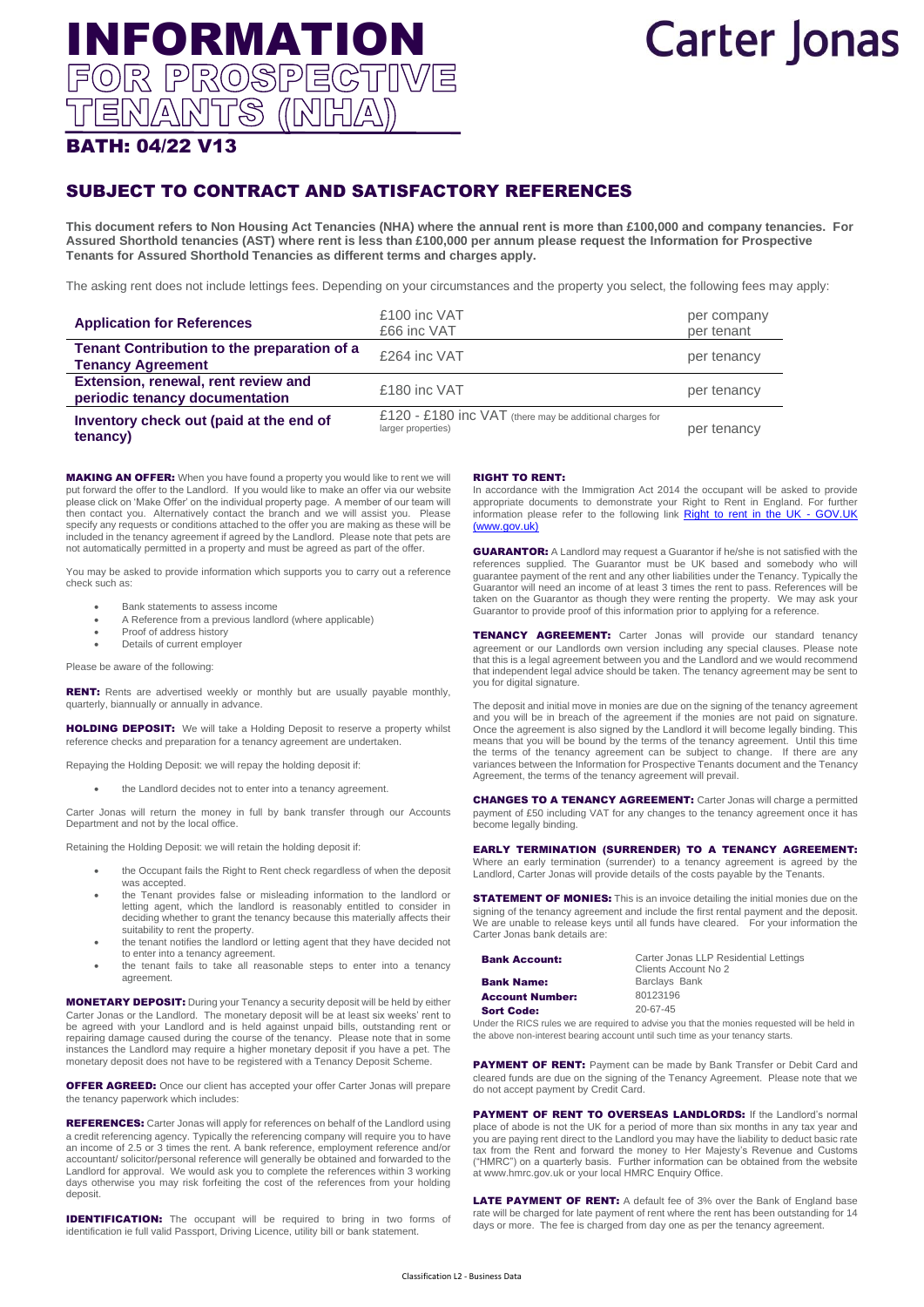# **Carter Jonas**

## BATH: 04/22 V13

### SUBJECT TO CONTRACT AND SATISFACTORY REFERENCES

**This document refers to Non Housing Act Tenancies (NHA) where the annual rent is more than £100,000 and company tenancies. For Assured Shorthold tenancies (AST) where rent is less than £100,000 per annum please request the Information for Prospective Tenants for Assured Shorthold Tenancies as different terms and charges apply.** 

The asking rent does not include lettings fees. Depending on your circumstances and the property you select, the following fees may apply:

| <b>Application for References</b>                                       | £100 inc VAT<br>£66 inc VAT                                                      | per company<br>per tenant |
|-------------------------------------------------------------------------|----------------------------------------------------------------------------------|---------------------------|
| Tenant Contribution to the preparation of a<br><b>Tenancy Agreement</b> | £264 inc VAT                                                                     | per tenancy               |
| Extension, renewal, rent review and<br>periodic tenancy documentation   | £180 inc VAT                                                                     | per tenancy               |
| Inventory check out (paid at the end of<br>tenancy)                     | £120 - £180 $inc$ VAT (there may be additional charges for<br>larger properties) | per tenancy               |

MAKING AN OFFER: When you have found a property you would like to rent we will put forward the offer to the Landlord. If you would like to make an offer via our website please click on 'Make Offer' on the individual property page. A member of our team will then contact you. Alternatively contact the branch and we will assist you. Please specify any requests or conditions attached to the offer you are making as these will be included in the tenancy agreement if agreed by the Landlord. Please note that pets are not automatically permitted in a property and must be agreed as part of the offer.

INFORMATION<br>FOR PROSPECTIME

ENANTS (INHL

You may be asked to provide information which supports you to carry out a reference check such as:

- Bank statements to assess income
- A Reference from a previous landlord (where applicable)
- Proof of address history
- Details of current employer

Please be aware of the following:

RENT: Rents are advertised weekly or monthly but are usually payable monthly, quarterly, biannually or annually in advance.

**HOLDING DEPOSIT:** We will take a Holding Deposit to reserve a property whilst reference checks and preparation for a tenancy agreement are undertaken.

Repaying the Holding Deposit: we will repay the holding deposit if:

the Landlord decides not to enter into a tenancy agreement.

Carter Jonas will return the money in full by bank transfer through our Accounts Department and not by the local office.

Retaining the Holding Deposit: we will retain the holding deposit if:

- the Occupant fails the Right to Rent check regardless of when the deposit was accepted.
- the Tenant provides false or misleading information to the landlord or letting agent, which the landlord is reasonably entitled to consider in deciding whether to grant the tenancy because this materially affects their suitability to rent the property.
- the tenant notifies the landlord or letting agent that they have decided not to enter into a tenancy agreement.
- the tenant fails to take all reasonable steps to enter into a tenancy agreement.

MONETARY DEPOSIT: During your Tenancy a security deposit will be held by either Carter Jonas or the Landlord. The monetary deposit will be at least six weeks' rent to be agreed with your Landlord and is held against unpaid bills, outstanding rent or repairing damage caused during the course of the tenancy. Please note that in some instances the Landlord may require a higher monetary deposit if you have a pet. The monetary deposit does not have to be registered with a Tenancy Deposit Scheme.

OFFER AGREED: Once our client has accepted your offer Carter Jonas will prepare the tenancy paperwork which includes:

REFERENCES: Carter Jonas will apply for references on behalf of the Landlord using a credit referencing agency. Typically the referencing company will require you to have an income of 2.5 or 3 times the rent. A bank reference, employment reference and/or accountant/ solicitor/personal reference will generally be obtained and forwarded to the Landlord for approval. We would ask you to complete the references within 3 working days otherwise you may risk forfeiting the cost of the references from your holding deposit.

**IDENTIFICATION:** The occupant will be required to bring in two forms of identification ie full valid Passport, Driving Licence, utility bill or bank statement.

### RIGHT TO RENT:

In accordance with the Immigration Act 2014 the occupant will be asked to provide appropriate documents to demonstrate your Right to Rent in England. For further information please refer to the following link [Right to rent in the UK -](https://www.gov.uk/entering-staying-uk/right-to-rent-in-the-UK) GOV.UK [\(www.gov.uk\)](https://www.gov.uk/entering-staying-uk/right-to-rent-in-the-UK)

GUARANTOR: A Landlord may request a Guarantor if he/she is not satisfied with the references supplied. The Guarantor must be UK based and somebody who will guarantee payment of the rent and any other liabilities under the Tenancy. Typically the Guarantor will need an income of at least 3 times the rent to pass. References will be taken on the Guarantor as though they were renting the property. We may ask your Guarantor to provide proof of this information prior to applying for a reference.

**TENANCY AGREEMENT:** Carter Jonas will provide our standard tenancy agreement or our Landlords own version including any special clauses. Please note that this is a legal agreement between you and the Landlord and we would recommend that independent legal advice should be taken. The tenancy agreement may be sent to you for digital signature.

The deposit and initial move in monies are due on the signing of the tenancy agreement and you will be in breach of the agreement if the monies are not paid on signature. Once the agreement is also signed by the Landlord it will become legally binding. This means that you will be bound by the terms of the tenancy agreement. Until this time the terms of the tenancy agreement can be subject to change. If there are any variances between the Information for Prospective Tenants document and the Tenancy Agreement, the terms of the tenancy agreement will prevail.

CHANGES TO A TENANCY AGREEMENT: Carter Jonas will charge a permitted payment of £50 including VAT for any changes to the tenancy agreement once it has become legally binding.

### EARLY TERMINATION (SURRENDER) TO A TENANCY AGREEMENT:

Where an early termination (surrender) to a tenancy agreement is agreed by the Landlord, Carter Jonas will provide details of the costs payable by the Tenants.

**STATEMENT OF MONIES:** This is an invoice detailing the initial monies due on the signing of the tenancy agreement and include the first rental payment and the deposit. We are unable to release keys until all funds have cleared. For your information the Carter Jonas bank details are:

| <b>Bank Account:</b>   | Carter Jonas LLP Residential Lettings<br>Clients Account No 2 |
|------------------------|---------------------------------------------------------------|
| <b>Bank Name:</b>      | Barclays Bank                                                 |
| <b>Account Number:</b> | 80123196                                                      |
| <b>Sort Code:</b>      | $20 - 67 - 45$                                                |

Under the RICS rules we are required to advise you that the monies requested will be held in the above non-interest bearing account until such time as your tenancy starts.

PAYMENT OF RENT: Payment can be made by Bank Transfer or Debit Card and cleared funds are due on the signing of the Tenancy Agreement. Please note that we do not accept payment by Credit Card.

PAYMENT OF RENT TO OVERSEAS LANDLORDS: If the Landlord's normal place of abode is not the UK for a period of more than six months in any tax year and you are paying rent direct to the Landlord you may have the liability to deduct basic rate tax from the Rent and forward the money to Her Majesty's Revenue and Customs ("HMRC") on a quarterly basis. Further information can be obtained from the website a[t www.hmrc.gov.uk](http://www.hmrc.gov.uk/) or your local HMRC Enquiry Office.

LATE PAYMENT OF RENT: A default fee of 3% over the Bank of England base rate will be charged for late payment of rent where the rent has been outstanding for 14 days or more. The fee is charged from day one as per the tenancy agreement.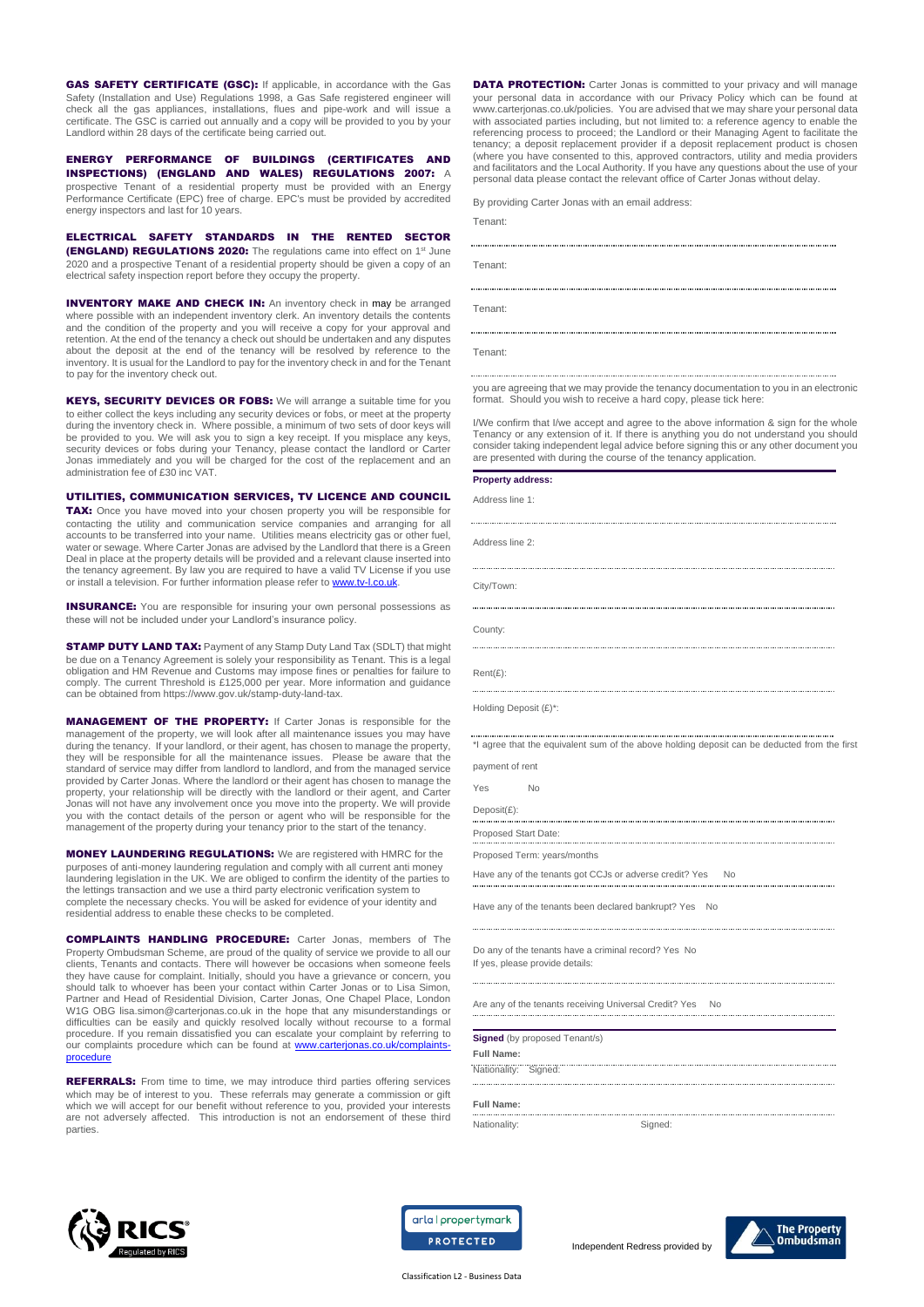GAS SAFETY CERTIFICATE (GSC): If applicable, in accordance with the Gas Safety (Installation and Use) Regulations 1998, a Gas Safe registered engineer will check all the gas appliances, installations, flues and pipe-work and will issue a certificate. The GSC is carried out annually and a copy will be provided to you by your Landlord within 28 days of the certificate being carried out.

ENERGY PERFORMANCE OF BUILDINGS (CERTIFICATES AND INSPECTIONS) (ENGLAND AND WALES) REGULATIONS 2007: A prospective Tenant of a residential property must be provided with an Energy Performance Certificate (EPC) free of charge. EPC's must be provided by accredited energy inspectors and last for 10 years.

ELECTRICAL SAFETY STANDARDS IN THE RENTED SECTOR (ENGLAND) REGULATIONS 2020: The regulations came into effect on 1<sup>st</sup> June 2020 and a prospective Tenant of a residential property should be given a copy of an electrical safety inspection report before they occupy the property.

**INVENTORY MAKE AND CHECK IN:** An inventory check in may be arranged where possible with an independent inventory clerk. An inventory details the contents and the condition of the property and you will receive a copy for your approval and retention. At the end of the tenancy a check out should be undertaken and any disputes about the deposit at the end of the tenancy will be resolved by reference to the inventory. It is usual for the Landlord to pay for the inventory check in and for the Tenant to pay for the inventory check out.

KEYS, SECURITY DEVICES OR FOBS: We will arrange a suitable time for you to either collect the keys including any security devices or fobs, or meet at the property during the inventory check in. Where possible, a minimum of two sets of door keys will be provided to you. We will ask you to sign a key receipt. If you misplace any keys, security devices or fobs during your Tenancy, please contact the landlord or Carter Jonas immediately and you will be charged for the cost of the replacement and an administration fee of £30 inc VAT.

UTILITIES, COMMUNICATION SERVICES, TV LICENCE AND COUNCIL TAX: Once you have moved into your chosen property you will be responsible for contacting the utility and communication service companies and arranging for all accounts to be transferred into your name. Utilities means electricity gas or other fuel, water or sewage. Where Carter Jonas are advised by the Landlord that there is a Green Deal in place at the property details will be provided and a relevant clause inserted into the tenancy agreement. By law you are required to have a valid TV License if you use or install a television. For further information please refer to www.tv-l.co.uk

**INSURANCE:** You are responsible for insuring your own personal possessions as these will not be included under your Landlord's insurance policy.

**STAMP DUTY LAND TAX:** Payment of any Stamp Duty Land Tax (SDLT) that might be due on a Tenancy Agreement is solely your responsibility as Tenant. This is a legal obligation and HM Revenue and Customs may impose fines or penalties for failure to comply. The current Threshold is £125,000 per year. More information and guidance can be obtained from https://www.gov.uk/stamp-duty-land-tax.

MANAGEMENT OF THE PROPERTY: If Carter Jonas is responsible for the management of the property, we will look after all maintenance issues you may have during the tenancy. If your landlord, or their agent, has chosen to manage the property, they will be responsible for all the maintenance issues. Please be aware that the standard of service may differ from landlord to landlord, and from the managed service provided by Carter Jonas. Where the landlord or their agent has chosen to manage the property, your relationship will be directly with the landlord or their agent, and C Jonas will not have any involvement once you move into the property. We will provide you with the contact details of the person or agent who will be responsible for the management of the property during your tenancy prior to the start of the tenancy.

MONEY LAUNDERING REGULATIONS: We are registered with HMRC for the purposes of anti-money laundering regulation and comply with all current anti money laundering legislation in the UK. We are obliged to confirm the identity of the parties to the lettings transaction and we use a third party electronic verification system to complete the necessary checks. You will be asked for evidence of your identity and residential address to enable these checks to be completed.

COMPLAINTS HANDLING PROCEDURE: Carter Jonas, members of The Property Ombudsman Scheme, are proud of the quality of service we provide to all our clients, Tenants and contacts. There will however be occasions when someone feels they have cause for complaint. Initially, should you have a grievance or concern, you should talk to whoever has been your contact within Carter Jonas or to Lisa Simon, Partner and Head of Residential Division, Carter Jonas, One Chapel Place, London W1G OBG [lisa.simon@carterjonas.co.uk](mailto:lisa.simon@carterjonas.co.uk) in the hope that any misunderstandings or difficulties can be easily and quickly resolved locally without recourse to a formal procedure. If you remain dissatisfied you can escalate your complaint by referring to our complaints procedure which can be found at [www.carterjonas.co.uk/complaints](http://www.carterjonas.co.uk/complaints-procedure)**[procedure](http://www.carterjonas.co.uk/complaints-procedure)** 

REFERRALS: From time to time, we may introduce third parties offering services which may be of interest to you. These referrals may generate a commission or gift which we will accept for our benefit without reference to you, provided your interests are not adversely affected. This introduction is not an endorsement of these third parties.

**DATA PROTECTION:** Carter Jonas is committed to your privacy and will manage your personal data in accordance with our Privacy Policy which can be found at [www.carterjonas.co.uk/policies.](http://www.carterjonas.co.uk/policies) You are advised that we may share your personal data with associated parties including, but not limited to: a reference agency to enable the referencing process to proceed; the Landlord or their Managing Agent to facilitate the tenancy; a deposit replacement provider if a deposit replacement product is chosen (where you have consented to this, approved contractors, utility and media providers and facilitators and the Local Authority. If you have any questions about the use of your personal data please contact the relevant office of Carter Jonas without delay.

By providing Carter Jonas with an email address:

Tenant:

Tenant: Tenant:

Tenant:

you are agreeing that we may provide the tenancy documentation to you in an electronic format. Should you wish to receive a hard copy, please tick here:

I/We confirm that I/we accept and agree to the above information & sign for the whole Tenancy or any extension of it. If there is anything you do not understand you should consider taking independent legal advice before signing this or any other document you are presented with during the course of the tenancy application.

#### **Property address:**

Address line 1:

Address line 2:

City/Town:

County:

Rent(£):

Holding Deposit (£)\*:

\*I agree that the equivalent sum of the above holding deposit can be deducted from the first

payment of rent

Yes No Deposit(£):

Proposed Start Date:

Proposed Term: years/months

Have any of the tenants got CCJs or adverse credit? Yes No

Have any of the tenants been declared bankrupt? Yes No

Do any of the tenants have a criminal record? Yes No If yes, please provide details:

Are any of the tenants receiving Universal Credit? Yes No

**Signed** (by proposed Tenant/s) **Full Name:** 

Nationality: Signed:

**Full Name:** 

Nationality: Signed:

Independent Redress provided by